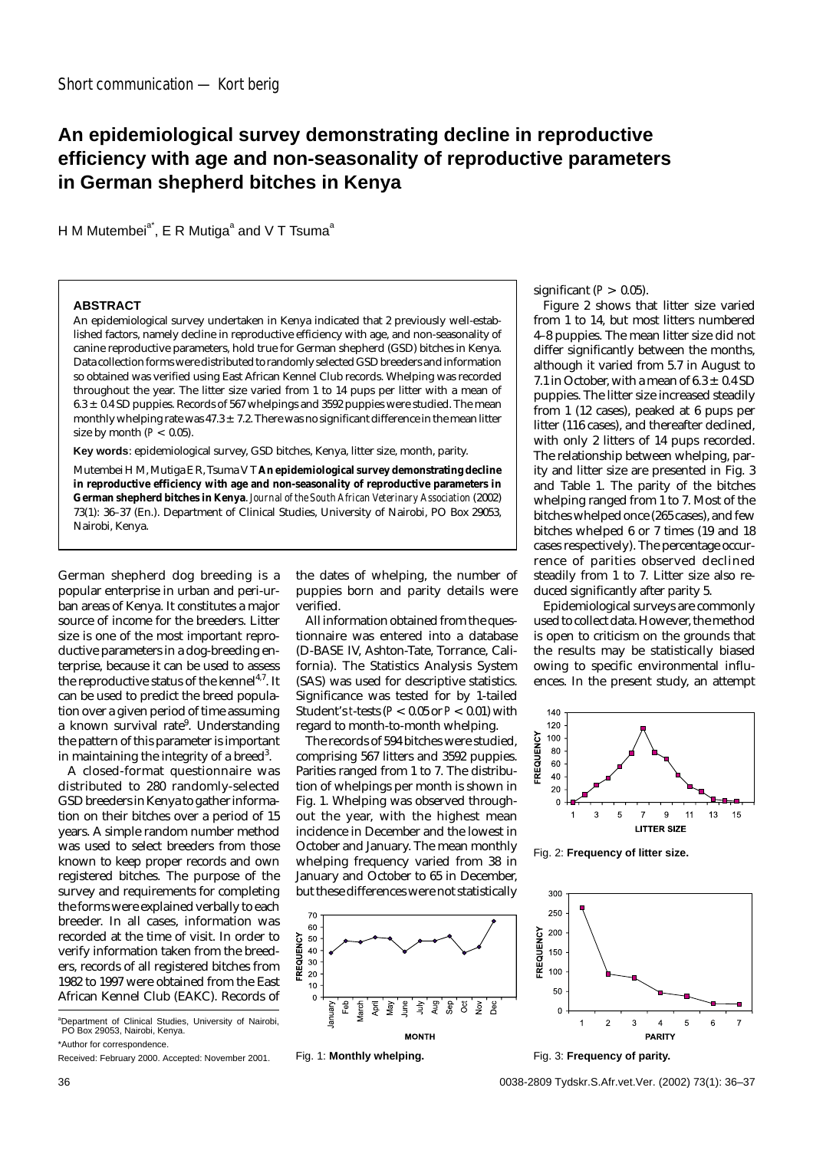## **An epidemiological survey demonstrating decline in reproductive efficiency with age and non-seasonality of reproductive parameters in German shepherd bitches in Kenya**

H M Mutembei<sup>a\*</sup>, E R Mutiga<sup>a</sup> and V T Tsuma<sup>a</sup>

## **ABSTRACT**

An epidemiological survey undertaken in Kenya indicated that 2 previously well-established factors, namely decline in reproductive efficiency with age, and non-seasonality of canine reproductive parameters, hold true for German shepherd (GSD) bitches in Kenya. Data collection forms were distributed to randomly selected GSD breeders and information so obtained was verified using East African Kennel Club records. Whelping was recorded throughout the year. The litter size varied from 1 to 14 pups per litter with a mean of  $6.3 \pm 0.4$  SD puppies. Records of 567 whelpings and 3592 puppies were studied. The mean monthly whelping rate was  $47.3 \pm 7.2$ . There was no significant difference in the mean litter size by month  $(P < 0.05)$ .

**Key words**: epidemiological survey, GSD bitches, Kenya, litter size, month, parity.

Mutembei H M, Mutiga E R, Tsuma V T **An epidemiological survey demonstrating decline in reproductive efficiency with age and non-seasonality of reproductive parameters in German shepherd bitches in Kenya**. *Journal of the South African Veterinary Association* (2002) 73(1): 36–37 (En.). Department of Clinical Studies, University of Nairobi, PO Box 29053, Nairobi, Kenya.

German shepherd dog breeding is a popular enterprise in urban and peri-urban areas of Kenya. It constitutes a major source of income for the breeders. Litter size is one of the most important reproductive parameters in a dog-breeding enterprise, because it can be used to assess the reproductive status of the kennel<sup>4,7</sup>. It can be used to predict the breed population over a given period of time assuming a known survival rate<sup>9</sup>. Understanding the pattern of this parameter is important in maintaining the integrity of a breed $^3$ .

A closed-format questionnaire was distributed to 280 randomly-selected GSD breeders in Kenya to gather information on their bitches over a period of 15 years. A simple random number method was used to select breeders from those known to keep proper records and own registered bitches. The purpose of the survey and requirements for completing the forms were explained verbally to each breeder. In all cases, information was recorded at the time of visit. In order to verify information taken from the breeders, records of all registered bitches from 1982 to 1997 were obtained from the East African Kennel Club (EAKC). Records of

a Department of Clinical Studies, University of Nairobi, PO Box 29053, Nairobi, Kenya. \*Author for correspondence.

Received: February 2000. Accepted: November 2001.

the dates of whelping, the number of puppies born and parity details were verified.

All information obtained from the questionnaire was entered into a database (D-BASE IV, Ashton-Tate, Torrance, California). The Statistics Analysis System (SAS) was used for descriptive statistics. Significance was tested for by 1-tailed Student's *t*-tests (*P* < 0.05 or *P* < 0.01) with regard to month-to-month whelping.

The records of 594 bitches were studied, comprising 567 litters and 3592 puppies. Parities ranged from 1 to 7. The distribution of whelpings per month is shown in Fig. 1. Whelping was observed throughout the year, with the highest mean incidence in December and the lowest in October and January. The mean monthly whelping frequency varied from 38 in January and October to 65 in December, but these differences were not statistically





significant  $(P > 0.05)$ .

Figure 2 shows that litter size varied from 1 to 14, but most litters numbered 4–8 puppies. The mean litter size did not differ significantly between the months, although it varied from 5.7 in August to 7.1 in October, with a mean of  $6.3 \pm 0.4$  SD puppies. The litter size increased steadily from 1 (12 cases), peaked at 6 pups per litter (116 cases), and thereafter declined, with only 2 litters of 14 pups recorded. The relationship between whelping, parity and litter size are presented in Fig. 3 and Table 1. The parity of the bitches whelping ranged from 1 to 7. Most of the bitches whelped once (265 cases), and few bitches whelped 6 or 7 times (19 and 18 cases respectively). The percentage occurrence of parities observed declined steadily from 1 to 7. Litter size also reduced significantly after parity 5.

Epidemiological surveys are commonly used to collect data. However, the method is open to criticism on the grounds that the results may be statistically biased owing to specific environmental influences. In the present study, an attempt



Fig. 2: **Frequency of litter size.**



Fig. 3: **Frequency of parity.**

36 0038-2809 Tydskr.S.Afr.vet.Ver. (2002) 73(1): 36–37